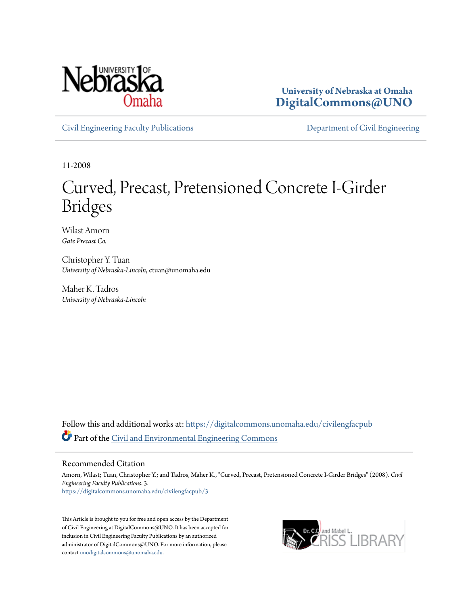

**University of Nebraska at Omaha [DigitalCommons@UNO](https://digitalcommons.unomaha.edu?utm_source=digitalcommons.unomaha.edu%2Fcivilengfacpub%2F3&utm_medium=PDF&utm_campaign=PDFCoverPages)**

[Civil Engineering Faculty Publications](https://digitalcommons.unomaha.edu/civilengfacpub?utm_source=digitalcommons.unomaha.edu%2Fcivilengfacpub%2F3&utm_medium=PDF&utm_campaign=PDFCoverPages) **[Department of Civil Engineering](https://digitalcommons.unomaha.edu/civilengineer?utm_source=digitalcommons.unomaha.edu%2Fcivilengfacpub%2F3&utm_medium=PDF&utm_campaign=PDFCoverPages)** 

11-2008

## Curved, Precast, Pretensioned Concrete I-Girder Bridges

Wilast Amorn *Gate Precast Co.*

Christopher Y. Tuan *University of Nebraska-Lincoln*, ctuan@unomaha.edu

Maher K. Tadros *University of Nebraska-Lincoln*

Follow this and additional works at: [https://digitalcommons.unomaha.edu/civilengfacpub](https://digitalcommons.unomaha.edu/civilengfacpub?utm_source=digitalcommons.unomaha.edu%2Fcivilengfacpub%2F3&utm_medium=PDF&utm_campaign=PDFCoverPages) Part of the [Civil and Environmental Engineering Commons](http://network.bepress.com/hgg/discipline/251?utm_source=digitalcommons.unomaha.edu%2Fcivilengfacpub%2F3&utm_medium=PDF&utm_campaign=PDFCoverPages)

#### Recommended Citation

Amorn, Wilast; Tuan, Christopher Y.; and Tadros, Maher K., "Curved, Precast, Pretensioned Concrete I-Girder Bridges" (2008). *Civil Engineering Faculty Publications*. 3. [https://digitalcommons.unomaha.edu/civilengfacpub/3](https://digitalcommons.unomaha.edu/civilengfacpub/3?utm_source=digitalcommons.unomaha.edu%2Fcivilengfacpub%2F3&utm_medium=PDF&utm_campaign=PDFCoverPages)

This Article is brought to you for free and open access by the Department of Civil Engineering at DigitalCommons@UNO. It has been accepted for inclusion in Civil Engineering Faculty Publications by an authorized administrator of DigitalCommons@UNO. For more information, please contact [unodigitalcommons@unomaha.edu.](mailto:unodigitalcommons@unomaha.edu)

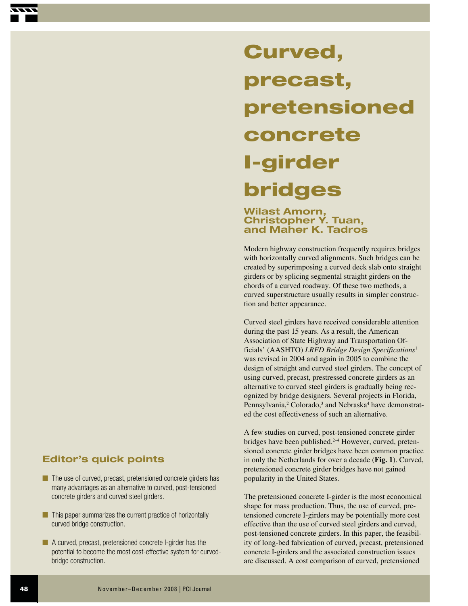# **precast, pretensioned concrete I-girder bridges**

## **Wilast Amorn, Christopher Y. Tuan, and Maher K. Tadros**

**Curved,** 

Modern highway construction frequently requires bridges with horizontally curved alignments. Such bridges can be created by superimposing a curved deck slab onto straight girders or by splicing segmental straight girders on the chords of a curved roadway. Of these two methods, a curved superstructure usually results in simpler construction and better appearance.

Curved steel girders have received considerable attention during the past 15 years. As a result, the American Association of State Highway and Transportation Officials' (AASHTO) *LRFD Bridge Design Specifications*<sup>1</sup> was revised in 2004 and again in 2005 to combine the design of straight and curved steel girders. The concept of using curved, precast, prestressed concrete girders as an alternative to curved steel girders is gradually being recognized by bridge designers. Several projects in Florida, Pennsylvania,<sup>2</sup> Colorado,<sup>3</sup> and Nebraska<sup>4</sup> have demonstrated the cost effectiveness of such an alternative.

A few studies on curved, post-tensioned concrete girder bridges have been published.<sup>2-4</sup> However, curved, pretensioned concrete girder bridges have been common practice in only the Netherlands for over a decade (**Fig. 1**). Curved, pretensioned concrete girder bridges have not gained popularity in the United States.

The pretensioned concrete I-girder is the most economical shape for mass production. Thus, the use of curved, pretensioned concrete I-girders may be potentially more cost effective than the use of curved steel girders and curved, post-tensioned concrete girders. In this paper, the feasibility of long-bed fabrication of curved, precast, pretensioned concrete I-girders and the associated construction issues are discussed. A cost comparison of curved, pretensioned

## **Editor's quick points**

- The use of curved, precast, pretensioned concrete girders has many advantages as an alternative to curved, post-tensioned concrete girders and curved steel girders.
- This paper summarizes the current practice of horizontally curved bridge construction.
- A curved, precast, pretensioned concrete I-girder has the potential to become the most cost-effective system for curvedbridge construction.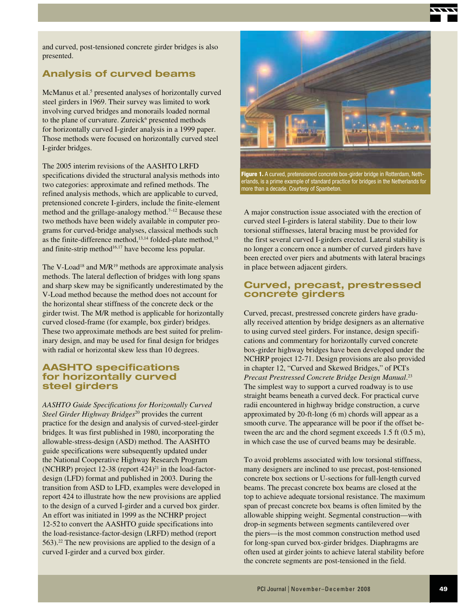and curved, post-tensioned concrete girder bridges is also presented.

## **Analysis of curved beams**

McManus et al.<sup>5</sup> presented analyses of horizontally curved steel girders in 1969. Their survey was limited to work involving curved bridges and monorails loaded normal to the plane of curvature. Zureick<sup>6</sup> presented methods for horizontally curved I-girder analysis in a 1999 paper. Those methods were focused on horizontally curved steel I-girder bridges.

The 2005 interim revisions of the AASHTO LRFD specifications divided the structural analysis methods into two categories: approximate and refined methods. The refined analysis methods, which are applicable to curved, pretensioned concrete I-girders, include the finite-element method and the grillage-analogy method.<sup> $7-12$ </sup> Because these two methods have been widely available in computer programs for curved-bridge analyses, classical methods such as the finite-difference method,<sup>13,14</sup> folded-plate method,<sup>15</sup> and finite-strip method $16,17$  have become less popular.

The V-Load<sup>18</sup> and  $M/R^{19}$  methods are approximate analysis methods. The lateral deflection of bridges with long spans and sharp skew may be significantly underestimated by the V-Load method because the method does not account for the horizontal shear stiffness of the concrete deck or the girder twist. The M/R method is applicable for horizontally curved closed-frame (for example, box girder) bridges. These two approximate methods are best suited for preliminary design, and may be used for final design for bridges with radial or horizontal skew less than 10 degrees.

## **AASHTO specifications for horizontally curved steel girders**

*AASHTO Guide Specifications for Horizontally Curved*  Steel Girder Highway Bridges<sup>20</sup> provides the current practice for the design and analysis of curved-steel-girder bridges. It was first published in 1980, incorporating the allowable-stress-design (ASD) method. The AASHTO guide specifications were subsequently updated under the National Cooperative Highway Research Program (NCHRP) project 12-38 (report  $424$ )<sup>21</sup> in the load-factordesign (LFD) format and published in 2003. During the transition from ASD to LFD, examples were developed in report 424 to illustrate how the new provisions are applied to the design of a curved I-girder and a curved box girder. An effort was initiated in 1999 as the NCHRP project 12-52 to convert the AASHTO guide specifications into the load-resistance-factor-design (LRFD) method (report 563).22 The new provisions are applied to the design of a curved I-girder and a curved box girder.



**Figure 1.** A curved, pretensioned concrete box-girder bridge in Rotterdam, Netherlands, is a prime example of standard practice for bridges in the Netherlands for more than a decade. Courtesy of Spanbeton.

A major construction issue associated with the erection of curved steel I-girders is lateral stability. Due to their low torsional stiffnesses, lateral bracing must be provided for the first several curved I-girders erected. Lateral stability is no longer a concern once a number of curved girders have been erected over piers and abutments with lateral bracings in place between adjacent girders.

### **Curved, precast, prestressed concrete girders**

Curved, precast, prestressed concrete girders have gradually received attention by bridge designers as an alternative to using curved steel girders. For instance, design specifications and commentary for horizontally curved concrete box-girder highway bridges have been developed under the NCHRP project 12-71. Design provisions are also provided in chapter 12, "Curved and Skewed Bridges," of PCI's *Precast Prestressed Concrete Bridge Design Manual*. 23 The simplest way to support a curved roadway is to use straight beams beneath a curved deck. For practical curve radii encountered in highway bridge construction, a curve approximated by 20-ft-long (6 m) chords will appear as a smooth curve. The appearance will be poor if the offset between the arc and the chord segment exceeds 1.5 ft (0.5 m), in which case the use of curved beams may be desirable.

To avoid problems associated with low torsional stiffness, many designers are inclined to use precast, post-tensioned concrete box sections or U-sections for full-length curved beams. The precast concrete box beams are closed at the top to achieve adequate torsional resistance. The maximum span of precast concrete box beams is often limited by the allowable shipping weight. Segmental construction—with drop-in segments between segments cantilevered over the piers—is the most common construction method used for long-span curved box-girder bridges. Diaphragms are often used at girder joints to achieve lateral stability before the concrete segments are post-tensioned in the field.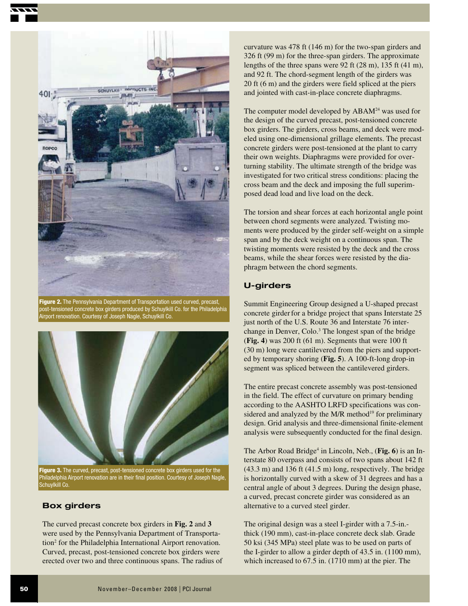

**Figure 2.** The Pennsylvania Department of Transportation used curved, precast, post-tensioned concrete box girders produced by Schuylkill Co. for the Philadelphia Airport renovation. Courtesy of Joseph Nagle, Schuylkill Co.



**Figure 3.** The curved, precast, post-tensioned concrete box girders used for the Philadelphia Airport renovation are in their final position. Courtesy of Joseph Nagle, Schuylkill Co.

## **Box girders**

The curved precast concrete box girders in **Fig. 2** and **3** were used by the Pennsylvania Department of Transportation<sup>2</sup> for the Philadelphia International Airport renovation. Curved, precast, post-tensioned concrete box girders were erected over two and three continuous spans. The radius of curvature was 478 ft (146 m) for the two-span girders and 326 ft (99 m) for the three-span girders. The approximate lengths of the three spans were 92 ft (28 m), 135 ft (41 m), and 92 ft. The chord-segment length of the girders was 20 ft (6 m) and the girders were field spliced at the piers and jointed with cast-in-place concrete diaphragms.

The computer model developed by ABAM<sup>24</sup> was used for the design of the curved precast, post-tensioned concrete box girders. The girders, cross beams, and deck were modeled using one-dimensional grillage elements. The precast concrete girders were post-tensioned at the plant to carry their own weights. Diaphragms were provided for overturning stability. The ultimate strength of the bridge was investigated for two critical stress conditions: placing the cross beam and the deck and imposing the full superimposed dead load and live load on the deck.

The torsion and shear forces at each horizontal angle point between chord segments were analyzed. Twisting moments were produced by the girder self-weight on a simple span and by the deck weight on a continuous span. The twisting moments were resisted by the deck and the cross beams, while the shear forces were resisted by the diaphragm between the chord segments.

## **U-girders**

Summit Engineering Group designed a U-shaped precast concrete girder for a bridge project that spans Interstate 25 just north of the U.S. Route 36 and Interstate 76 interchange in Denver, Colo.<sup>3</sup> The longest span of the bridge (**Fig. 4**) was 200 ft (61 m). Segments that were 100 ft (30 m) long were cantilevered from the piers and supported by temporary shoring (**Fig. 5**). A 100-ft-long drop-in segment was spliced between the cantilevered girders.

The entire precast concrete assembly was post-tensioned in the field. The effect of curvature on primary bending according to the AASHTO LRFD specifications was considered and analyzed by the  $M/R$  method<sup>19</sup> for preliminary design. Grid analysis and three-dimensional finite-element analysis were subsequently conducted for the final design.

The Arbor Road Bridge<sup>4</sup> in Lincoln, Neb., (Fig. 6) is an Interstate 80 overpass and consists of two spans about 142 ft (43.3 m) and 136 ft (41.5 m) long, respectively. The bridge is horizontally curved with a skew of 31 degrees and has a central angle of about 3 degrees. During the design phase, a curved, precast concrete girder was considered as an alternative to a curved steel girder.

The original design was a steel I-girder with a 7.5-in. thick (190 mm), cast-in-place concrete deck slab. Grade 50 ksi (345 MPa) steel plate was to be used on parts of the I-girder to allow a girder depth of 43.5 in. (1100 mm), which increased to 67.5 in. (1710 mm) at the pier. The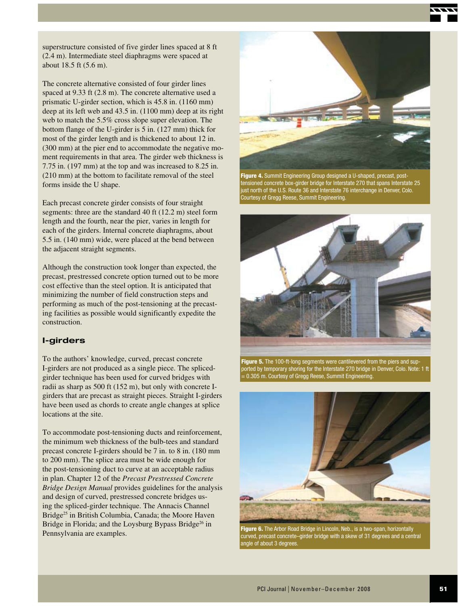superstructure consisted of five girder lines spaced at 8 ft (2.4 m). Intermediate steel diaphragms were spaced at about 18.5 ft (5.6 m).

The concrete alternative consisted of four girder lines spaced at 9.33 ft (2.8 m). The concrete alternative used a prismatic U-girder section, which is 45.8 in. (1160 mm) deep at its left web and 43.5 in. (1100 mm) deep at its right web to match the 5.5% cross slope super elevation. The bottom flange of the U-girder is 5 in. (127 mm) thick for most of the girder length and is thickened to about 12 in. (300 mm) at the pier end to accommodate the negative moment requirements in that area. The girder web thickness is 7.75 in. (197 mm) at the top and was increased to 8.25 in. (210 mm) at the bottom to facilitate removal of the steel forms inside the U shape.

Each precast concrete girder consists of four straight segments: three are the standard 40 ft (12.2 m) steel form length and the fourth, near the pier, varies in length for each of the girders. Internal concrete diaphragms, about 5.5 in. (140 mm) wide, were placed at the bend between the adjacent straight segments.

Although the construction took longer than expected, the precast, prestressed concrete option turned out to be more cost effective than the steel option. It is anticipated that minimizing the number of field construction steps and performing as much of the post-tensioning at the precasting facilities as possible would significantly expedite the construction.

#### **I-girders**

To the authors' knowledge, curved, precast concrete I-girders are not produced as a single piece. The splicedgirder technique has been used for curved bridges with radii as sharp as 500 ft (152 m), but only with concrete Igirders that are precast as straight pieces. Straight I-girders have been used as chords to create angle changes at splice locations at the site.

To accommodate post-tensioning ducts and reinforcement, the minimum web thickness of the bulb-tees and standard precast concrete I-girders should be 7 in. to 8 in. (180 mm to 200 mm). The splice area must be wide enough for the post-tensioning duct to curve at an acceptable radius in plan. Chapter 12 of the *Precast Prestressed Concrete Bridge Design Manual* provides guidelines for the analysis and design of curved, prestressed concrete bridges using the spliced-girder technique. The Annacis Channel Bridge<sup>25</sup> in British Columbia, Canada; the Moore Haven Bridge in Florida; and the Loysburg Bypass Bridge<sup>26</sup> in



**Figure 4.** Summit Engineering Group designed a U-shaped, precast, posttensioned concrete box-girder bridge for Interstate 270 that spans Interstate 25 just north of the U.S. Route 36 and Interstate 76 interchange in Denver, Colo. Courtesy of Gregg Reese, Summit Engineering.



**Figure 5.** The 100-ft-long segments were cantilevered from the piers and supported by temporary shoring for the Interstate 270 bridge in Denver, Colo. Note: 1 ft = 0.305 m. Courtesy of Gregg Reese, Summit Engineering.



**Figure 6.** The Arbor Road Bridge in Lincoln, Neb., is a two-span, horizontally<br>Pennsylvania are examples.<br>Curved, precast concrete–girder bridge with a skew of 31 degrees and a central angle of about 3 degrees.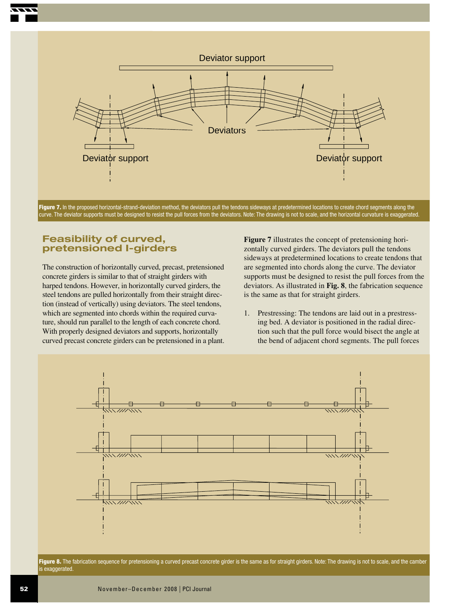

Figure 7. In the proposed horizontal-strand-deviation method, the deviators pull the tendons sideways at predetermined locations to create chord segments along the curve. The deviator supports must be designed to resist the pull forces from the deviators. Note: The drawing is not to scale, and the horizontal curvature is exaggerated.

## **Feasibility of curved, pretensioned I-girders**

The construction of horizontally curved, precast, pretensioned concrete girders is similar to that of straight girders with harped tendons. However, in horizontally curved girders, the steel tendons are pulled horizontally from their straight direction (instead of vertically) using deviators. The steel tendons, which are segmented into chords within the required curvature, should run parallel to the length of each concrete chord. With properly designed deviators and supports, horizontally curved precast concrete girders can be pretensioned in a plant. **Figure 7** illustrates the concept of pretensioning horizontally curved girders. The deviators pull the tendons sideways at predetermined locations to create tendons that are segmented into chords along the curve. The deviator supports must be designed to resist the pull forces from the deviators. As illustrated in **Fig. 8**, the fabrication sequence is the same as that for straight girders.

1. Prestressing: The tendons are laid out in a prestressing bed. A deviator is positioned in the radial direction such that the pull force would bisect the angle at the bend of adjacent chord segments. The pull forces



Figure 8. The fabrication sequence for pretensioning a curved precast concrete girder is the same as for straight girders. Note: The drawing is not to scale, and the camber is exaggerated.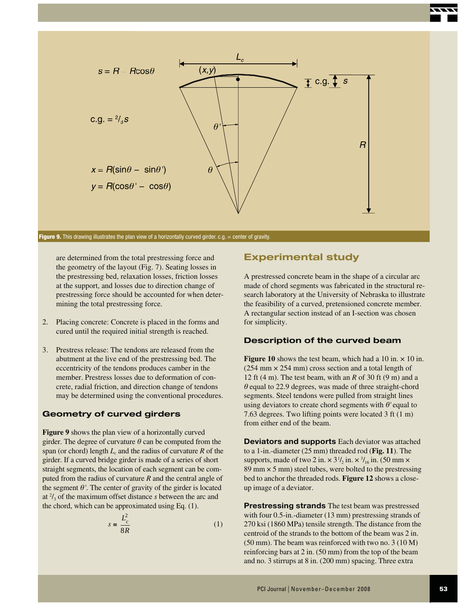

**Figure 9.** This drawing illustrates the plan view of a horizontally curved girder. c.g. = center of gravity.

are determined from the total prestressing force and the geometry of the layout (Fig. 7). Seating losses in the prestressing bed, relaxation losses, friction losses at the support, and losses due to direction change of prestressing force should be accounted for when determining the total prestressing force.

- 2. Placing concrete: Concrete is placed in the forms and cured until the required initial strength is reached.
- 3. Prestress release: The tendons are released from the abutment at the live end of the prestressing bed. The eccentricity of the tendons produces camber in the member. Prestress losses due to deformation of concrete, radial friction, and direction change of tendons may be determined using the conventional procedures.

#### **Geometry of curved girders**

**Figure 9** shows the plan view of a horizontally curved girder. The degree of curvature  $\theta$  can be computed from the span (or chord) length  $L_c$  and the radius of curvature  $R$  of the girder. If a curved bridge girder is made of a series of short straight segments, the location of each segment can be computed from the radius of curvature *R* and the central angle of the segment  $\theta$ . The center of gravity of the girder is located at  $\frac{2}{3}$  of the maximum offset distance *s* between the arc and the chord, which can be approximated using Eq. (1).

$$
s \cong \frac{L_c^2}{8R} \tag{1}
$$

## **Experimental study**

A prestressed concrete beam in the shape of a circular arc made of chord segments was fabricated in the structural research laboratory at the University of Nebraska to illustrate the feasibility of a curved, pretensioned concrete member. A rectangular section instead of an I-section was chosen for simplicity.

#### **Description of the curved beam**

**Figure 10** shows the test beam, which had a 10 in.  $\times$  10 in.  $(254 \text{ mm} \times 254 \text{ mm})$  cross section and a total length of 12 ft (4 m). The test beam, with an *R* of 30 ft (9 m) and a  $\theta$  equal to 22.9 degrees, was made of three straight-chord segments. Steel tendons were pulled from straight lines using deviators to create chord segments with  $\theta$  equal to 7.63 degrees. Two lifting points were located 3 ft (1 m) from either end of the beam.

**Deviators and supports** Each deviator was attached to a 1-in.-diameter (25 mm) threaded rod (**Fig. 11**). The supports, made of two 2 in.  $\times 3^{1/2}$  in.  $\times$   $3/16$  in. (50 mm  $\times$ 89 mm  $\times$  5 mm) steel tubes, were bolted to the prestressing bed to anchor the threaded rods. **Figure 12** shows a closeup image of a deviator.

**Prestressing strands** The test beam was prestressed with four 0.5-in.-diameter (13 mm) prestressing strands of 270 ksi (1860 MPa) tensile strength. The distance from the centroid of the strands to the bottom of the beam was 2 in. (50 mm). The beam was reinforced with two no. 3 (10 M) reinforcing bars at 2 in. (50 mm) from the top of the beam and no. 3 stirrups at 8 in. (200 mm) spacing. Three extra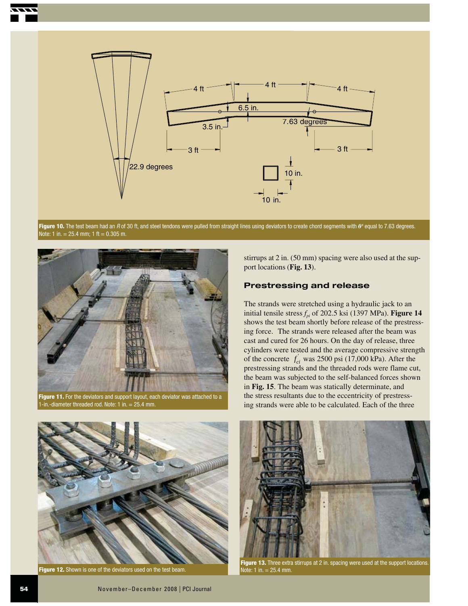



Figure 10. The test beam had an R of 30 ft, and steel tendons were pulled from straight lines using deviators to create chord segments with  $\boldsymbol{\theta}$ <sup>,</sup> equal to 7.63 degrees. Note: 1 in. = 25.4 mm; 1 ft = 0.305 m.



in.-diameter threaded rod. Note:  $1$  in.  $= 25.4$  mm.

stirrups at 2 in. (50 mm) spacing were also used at the support locations (**Fig. 13**).

#### **Prestressing and release**

The strands were stretched using a hydraulic jack to an initial tensile stress  $f_{pi}$  of 202.5 ksi (1397 MPa). **Figure 14** shows the test beam shortly before release of the prestressing force. The strands were released after the beam was cast and cured for 26 hours. On the day of release, three cylinders were tested and the average compressive strength of the concrete  $f_{ci}^{'}$  was 2500 psi (17,000 kPa). After the prestressing strands and the threaded rods were flame cut, the beam was subjected to the self-balanced forces shown in **Fig. 15**. The beam was statically determinate, and the stress resultants due to the eccentricity of prestressing strands were able to be calculated. Each of the three



**Figure 12.** Shown is one of the deviators used on the test beam. Note: 1 in. = 25.4 mm.



**Figure 13.** Three extra stirrups at 2 in. spacing were used at the support locations.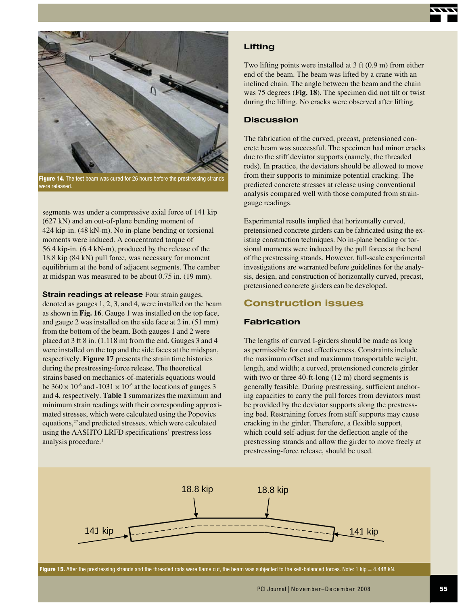



**Figure 14.** The test beam was cured for 26 hours before the prestressing strands were released.

segments was under a compressive axial force of 141 kip (627 kN) and an out-of-plane bending moment of 424 kip-in. (48 kN-m). No in-plane bending or torsional moments were induced. A concentrated torque of 56.4 kip-in. (6.4 kN-m), produced by the release of the 18.8 kip (84 kN) pull force, was necessary for moment equilibrium at the bend of adjacent segments. The camber at midspan was measured to be about 0.75 in. (19 mm).

**Strain readings at release** Four strain gauges, denoted as gauges 1, 2, 3, and 4, were installed on the beam as shown in **Fig. 16**. Gauge 1 was installed on the top face, and gauge 2 was installed on the side face at 2 in. (51 mm) from the bottom of the beam. Both gauges 1 and 2 were placed at 3 ft 8 in. (1.118 m) from the end. Gauges 3 and 4 were installed on the top and the side faces at the midspan, respectively. **Figure 17** presents the strain time histories during the prestressing-force release. The theoretical strains based on mechanics-of-materials equations would be  $360 \times 10^{-6}$  and  $-1031 \times 10^{-6}$  at the locations of gauges 3 and 4, respectively. **Table 1** summarizes the maximum and minimum strain readings with their corresponding approximated stresses, which were calculated using the Popovics equations,<sup>27</sup> and predicted stresses, which were calculated using the AASHTO LRFD specifications' prestress loss analysis procedure.<sup>1</sup>

#### **Lifting**

Two lifting points were installed at 3 ft (0.9 m) from either end of the beam. The beam was lifted by a crane with an inclined chain. The angle between the beam and the chain was 75 degrees (**Fig. 18**). The specimen did not tilt or twist during the lifting. No cracks were observed after lifting.

#### **Discussion**

The fabrication of the curved, precast, pretensioned concrete beam was successful. The specimen had minor cracks due to the stiff deviator supports (namely, the threaded rods). In practice, the deviators should be allowed to move from their supports to minimize potential cracking. The predicted concrete stresses at release using conventional analysis compared well with those computed from straingauge readings.

Experimental results implied that horizontally curved, pretensioned concrete girders can be fabricated using the existing construction techniques. No in-plane bending or torsional moments were induced by the pull forces at the bend of the prestressing strands. However, full-scale experimental investigations are warranted before guidelines for the analysis, design, and construction of horizontally curved, precast, pretensioned concrete girders can be developed.

## **Construction issues**

#### **Fabrication**

The lengths of curved I-girders should be made as long as permissible for cost effectiveness. Constraints include the maximum offset and maximum transportable weight, length, and width; a curved, pretensioned concrete girder with two or three 40-ft-long (12 m) chord segments is generally feasible. During prestressing, sufficient anchoring capacities to carry the pull forces from deviators must be provided by the deviator supports along the prestressing bed. Restraining forces from stiff supports may cause cracking in the girder. Therefore, a flexible support, which could self-adjust for the deflection angle of the prestressing strands and allow the girder to move freely at prestressing-force release, should be used.



**Figure 15.** After the prestressing strands and the threaded rods were flame cut, the beam was subjected to the self-balanced forces. Note: 1 kip = 4.448 kN.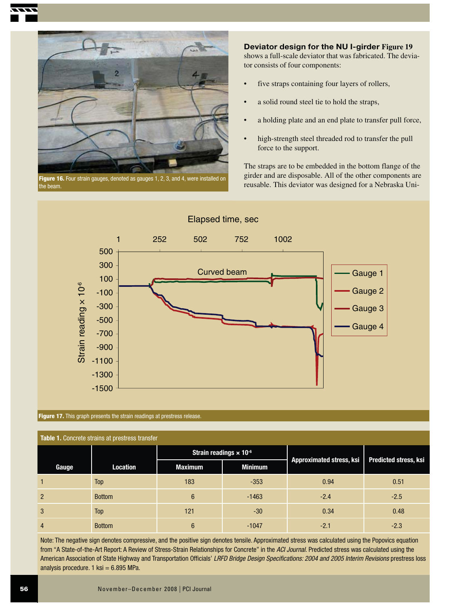

**Figure 16.** Four strain gauges, denoted as gauges 1, 2, 3, and 4, were installed on the beam.

**Deviator design for the NU I-girder Figure 19**  shows a full-scale deviator that was fabricated. The deviator consists of four components:

- five straps containing four layers of rollers,
- a solid round steel tie to hold the straps,
- a holding plate and an end plate to transfer pull force,
- high-strength steel threaded rod to transfer the pull force to the support.

The straps are to be embedded in the bottom flange of the girder and are disposable. All of the other components are reusable. This deviator was designed for a Nebraska Uni-



#### **Figure 17.** This graph presents the strain readings at prestress release.

| Table 1. Concrete strains at prestress transfer |                 |                                           |                |                          |                              |  |  |
|-------------------------------------------------|-----------------|-------------------------------------------|----------------|--------------------------|------------------------------|--|--|
|                                                 |                 | Strain readings $\times$ 10 <sup>-6</sup> |                |                          |                              |  |  |
| Gauge                                           | <b>Location</b> | <b>Maximum</b>                            | <b>Minimum</b> | Approximated stress, ksi | <b>Predicted stress, ksi</b> |  |  |
|                                                 | Top             | 183                                       | $-353$         | 0.94                     | 0.51                         |  |  |
| $\overline{2}$                                  | <b>Bottom</b>   | 6                                         | $-1463$        | $-2.4$                   | $-2.5$                       |  |  |
| 3                                               | Top             | 121                                       | $-30$          | 0.34                     | 0.48                         |  |  |
| $\overline{4}$                                  | <b>Bottom</b>   | $6\phantom{1}$                            | $-1047$        | $-2.1$                   | $-2.3$                       |  |  |

Note: The negative sign denotes compressive, and the positive sign denotes tensile. Approximated stress was calculated using the Popovics equation from "A State-of-the-Art Report: A Review of Stress-Strain Relationships for Concrete" in the ACI Journal. Predicted stress was calculated using the American Association of State Highway and Transportation Officials' LRFD Bridge Design Specifications: 2004 and 2005 Interim Revisions prestress loss analysis procedure.  $1$  ksi = 6.895 MPa.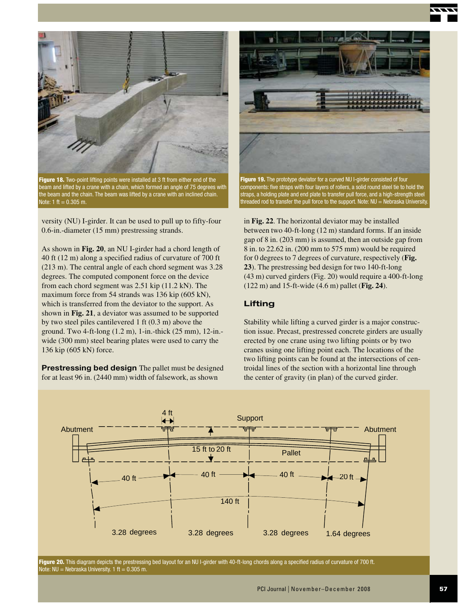



**Figure 18.** Two-point lifting points were installed at 3 ft from either end of the beam and lifted by a crane with a chain, which formed an angle of 75 degrees with the beam and the chain. The beam was lifted by a crane with an inclined chain. Note:  $1 \text{ ft} = 0.305 \text{ m}$ .

versity (NU) I-girder. It can be used to pull up to fifty-four 0.6-in.-diameter (15 mm) prestressing strands.

As shown in **Fig. 20**, an NU I-girder had a chord length of 40 ft (12 m) along a specified radius of curvature of 700 ft (213 m). The central angle of each chord segment was 3.28 degrees. The computed component force on the device from each chord segment was 2.51 kip (11.2 kN). The maximum force from 54 strands was 136 kip (605 kN), which is transferred from the deviator to the support. As shown in **Fig. 21**, a deviator was assumed to be supported by two steel piles cantilevered 1 ft (0.3 m) above the ground. Two 4-ft-long (1.2 m), 1-in.-thick (25 mm), 12-in. wide (300 mm) steel bearing plates were used to carry the 136 kip (605 kN) force.

**Prestressing bed design** The pallet must be designed for at least 96 in. (2440 mm) width of falsework, as shown



**Figure 19.** The prototype deviator for a curved NU I-girder consisted of four components: five straps with four layers of rollers, a solid round steel tie to hold the straps, a holding plate and end plate to transfer pull force, and a high-strength steel threaded rod to transfer the pull force to the support. Note: NU = Nebraska University.

in **Fig. 22**. The horizontal deviator may be installed between two 40-ft-long (12 m) standard forms. If an inside gap of 8 in. (203 mm) is assumed, then an outside gap from 8 in. to 22.62 in. (200 mm to 575 mm) would be required for 0 degrees to 7 degrees of curvature, respectively (**Fig. 23**). The prestressing bed design for two 140-ft-long (43 m) curved girders (Fig. 20) would require a 400-ft-long (122 m) and 15-ft-wide (4.6 m) pallet (**Fig. 24**).

#### **Lifting**

Stability while lifting a curved girder is a major construction issue. Precast, prestressed concrete girders are usually erected by one crane using two lifting points or by two cranes using one lifting point each. The locations of the two lifting points can be found at the intersections of centroidal lines of the section with a horizontal line through the center of gravity (in plan) of the curved girder.



**Figure 20.** This diagram depicts the prestressing bed layout for an NU I-girder with 40-ft-long chords along a specified radius of curvature of 700 ft. Note:  $NU = Nebraska University. 1 ft = 0.305 m.$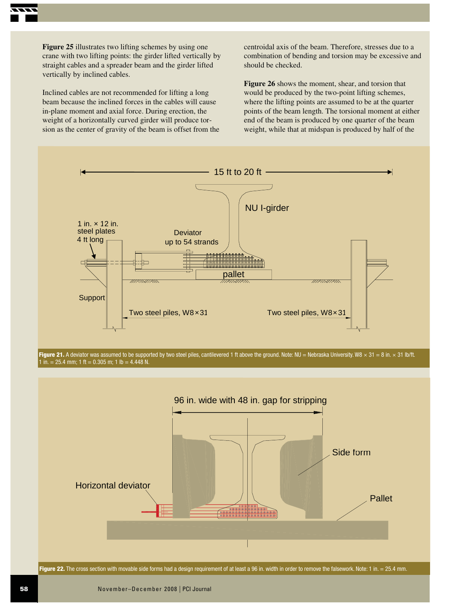

Inclined cables are not recommended for lifting a long beam because the inclined forces in the cables will cause in-plane moment and axial force. During erection, the weight of a horizontally curved girder will produce torsion as the center of gravity of the beam is offset from the centroidal axis of the beam. Therefore, stresses due to a combination of bending and torsion may be excessive and should be checked.

**Figure 26** shows the moment, shear, and torsion that would be produced by the two-point lifting schemes, where the lifting points are assumed to be at the quarter points of the beam length. The torsional moment at either end of the beam is produced by one quarter of the beam weight, while that at midspan is produced by half of the



**Figure 21.** A deviator was assumed to be supported by two steel piles, cantilevered 1 ft above the ground. Note: NU = Nebraska University. W8  $\times$  31 = 8 in.  $\times$  31 lb/ft. 1 in. = 25.4 mm; 1 ft = 0.305 m; 1 lb = 4.448 N.



Figure 22. The cross section with movable side forms had a design requirement of at least a 96 in. width in order to remove the falsework. Note: 1 in. = 25.4 mm.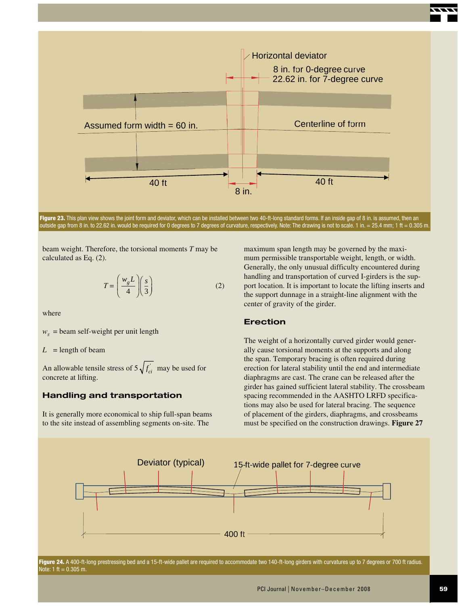

**Figure 23.** This plan view shows the joint form and deviator, which can be installed between two 40-ft-long standard forms. If an inside gap of 8 in. is assumed, then an outside gap from 8 in. to 22.62 in. would be required for 0 degrees to 7 degrees of curvature, respectively. Note: The drawing is not to scale. 1 in. = 25.4 mm; 1 ft = 0.305 m.

beam weight. Therefore, the torsional moments *T* may be calculated as Eq. (2).

$$
T = \left(\frac{w_g L}{4}\right)\left(\frac{s}{3}\right) \tag{2}
$$

where

 $w_g$  = beam self-weight per unit length

 $L =$  length of beam

An allowable tensile stress of  $5\sqrt{f'_\text{ci}}$  may be used for concrete at lifting.

#### **Handling and transportation**

It is generally more economical to ship full-span beams to the site instead of assembling segments on-site. The

maximum span length may be governed by the maximum permissible transportable weight, length, or width. Generally, the only unusual difficulty encountered during handling and transportation of curved I-girders is the support location. It is important to locate the lifting inserts and the support dunnage in a straight-line alignment with the center of gravity of the girder.

#### **Erection**

The weight of a horizontally curved girder would generally cause torsional moments at the supports and along the span. Temporary bracing is often required during erection for lateral stability until the end and intermediate diaphragms are cast. The crane can be released after the girder has gained sufficient lateral stability. The crossbeam spacing recommended in the AASHTO LRFD specifications may also be used for lateral bracing. The sequence of placement of the girders, diaphragms, and crossbeams must be specified on the construction drawings. **Figure 27**



Figure 24. A 400-ft-long prestressing bed and a 15-ft-wide pallet are required to accommodate two 140-ft-long girders with curvatures up to 7 degrees or 700 ft radius. Note:  $1 \text{ ft} = 0.305 \text{ m}$ .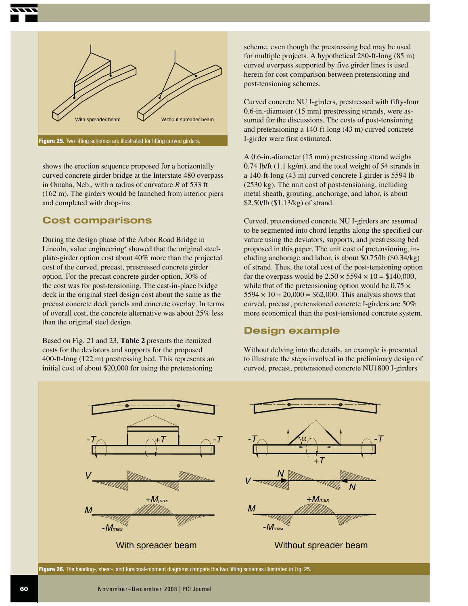

shows the erection sequence proposed for a horizontally curved concrete girder bridge at the Interstate 480 overpass in Omaha, Neb., with a radius of curvature *R* of 533 ft (162 m). The girders would be launched from interior piers and completed with drop-ins.

## **Cost comparisons**

During the design phase of the Arbor Road Bridge in Lincoln, value engineering<sup>4</sup> showed that the original steelplate-girder option cost about 40% more than the projected cost of the curved, precast, prestressed concrete girder option. For the precast concrete girder option, 30% of the cost was for post-tensioning. The cast-in-place bridge deck in the original steel design cost about the same as the precast concrete deck panels and concrete overlay. In terms of overall cost, the concrete alternative was about 25% less than the original steel design.

Based on Fig. 21 and 23, **Table 2** presents the itemized costs for the deviators and supports for the proposed 400-ft-long (122 m) prestressing bed. This represents an initial cost of about \$20,000 for using the pretensioning

scheme, even though the prestressing bed may be used for multiple projects. A hypothetical 280-ft-long (85 m) curved overpass supported by five girder lines is used herein for cost comparison between pretensioning and post-tensioning schemes.

Curved concrete NU I-girders, prestressed with fifty-four 0.6-in.-diameter (15 mm) prestressing strands, were assumed for the discussions. The costs of post-tensioning and pretensioning a 140-ft-long (43 m) curved concrete I-girder were first estimated.

A 0.6-in.-diameter (15 mm) prestressing strand weighs 0.74 lb/ft (1.1 kg/m), and the total weight of 54 strands in a 140-ft-long (43 m) curved concrete I-girder is 5594 lb (2530 kg). The unit cost of post-tensioning, including metal sheath, grouting, anchorage, and labor, is about \$2.50/lb (\$1.13/kg) of strand.

Curved, pretensioned concrete NU I-girders are assumed to be segmented into chord lengths along the specified curvature using the deviators, supports, and prestressing bed proposed in this paper. The unit cost of pretensioning, including anchorage and labor, is about \$0.75/lb (\$0.34/kg) of strand. Thus, the total cost of the post-tensioning option for the overpass would be  $2.50 \times 5594 \times 10 = $140,000$ , while that of the pretensioning option would be  $0.75 \times$  $5594 \times 10 + 20,000 = $62,000$ . This analysis shows that curved, precast, pretensioned concrete I-girders are 50% more economical than the post-tensioned concrete system.

## **Design example**

Without delving into the details, an example is presented to illustrate the steps involved in the preliminary design of curved, precast, pretensioned concrete NU1800 I-girders



**Figure 26.** The bending-, shear-, and torsional-moment diagrams compare the two lifting schemes illustrated in Fig. 25.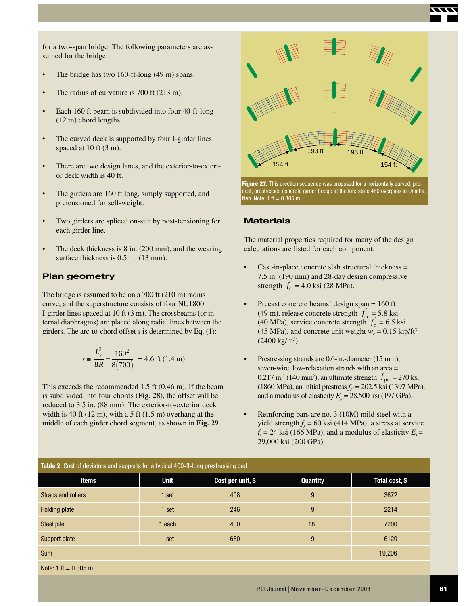

for a two-span bridge. The following parameters are assumed for the bridge:

- The bridge has two  $160$ -ft-long  $(49 \text{ m})$  spans.
- The radius of curvature is  $700$  ft  $(213 \text{ m})$ .
- Each 160 ft beam is subdivided into four 40-ft-long (12 m) chord lengths.
- The curved deck is supported by four I-girder lines spaced at 10 ft (3 m).
- There are two design lanes, and the exterior-to-exterior deck width is 40 ft.
- The girders are 160 ft long, simply supported, and pretensioned for self-weight.
- Two girders are spliced on-site by post-tensioning for each girder line.
- The deck thickness is  $8$  in. (200 mm), and the wearing surface thickness is  $0.5$  in.  $(13 \text{ mm})$ .

#### **Plan geometry**

The bridge is assumed to be on a 700 ft (210 m) radius curve, and the superstructure consists of four NU1800 I-girder lines spaced at 10 ft (3 m). The crossbeams (or internal diaphragms) are placed along radial lines between the girders. The arc-to-chord offset *s* is determined by Eq. (1):

$$
s \approx \frac{L_c^2}{8R} = \frac{160^2}{8(700)} = 4.6 \text{ ft } (1.4 \text{ m})
$$

This exceeds the recommended 1.5 ft (0.46 m). If the beam is subdivided into four chords (**Fig. 28**), the offset will be reduced to 3.5 in. (88 mm). The exterior-to-exterior deck width is 40 ft  $(12 \text{ m})$ , with a 5 ft  $(1.5 \text{ m})$  overhang at the middle of each girder chord segment, as shown in **Fig. 29**.



**Figure 27.** This erection sequence was proposed for a horizontally curved, precast, prestressed concrete girder bridge at the Interstate 480 overpass in Omaha, Neb. Note:  $1 \text{ ft} = 0.305 \text{ m}$ .

#### **Materials**

The material properties required for many of the design calculations are listed for each component:

- $Cast-in-place concrete slab structural thickness =$ 7.5 in. (190 mm) and 28-day design compressive strength  $f'_c = 4.0$  ksi (28 MPa).
- Precast concrete beams' design span  $= 160$  ft (49 m), release concrete strength  $f'_{ci} = 5.8$  ksi (40 MPa), service concrete strength  $f_c = 6.5$  ksi (45 MPa), and concrete unit weight  $w_c = 0.15$  kip/ft<sup>3</sup>  $(2400 \text{ kg/m}^3).$
- Prestressing strands are 0.6-in.-diameter (15 mm), seven-wire, low-relaxation strands with an area = 0.217 in.<sup>2</sup> (140 mm<sup>2</sup>), an ultimate strength  $f_{pu} = 270$  ksi (1860 MPa), an initial prestress  $f_{pi} = 202.5$  ksi (1397 MPa), and a modulus of elasticity  $E_p = 28,500$  ksi (197 GPa).
- Reinforcing bars are no. 3 (10M) mild steel with a yield strength  $f_y = 60$  ksi (414 MPa), a stress at service  $f_s$  = 24 ksi (166 MPa), and a modulus of elasticity  $E_s$  = 29,000 ksi (200 GPa).

| <b>Table 2.</b> Cost of deviators and supports for a typical 400-ft-long prestressing bed |                   |                 |                |  |  |  |  |
|-------------------------------------------------------------------------------------------|-------------------|-----------------|----------------|--|--|--|--|
| <b>Unit</b>                                                                               | Cost per unit, \$ | <b>Quantity</b> | Total cost, \$ |  |  |  |  |
| 1 set                                                                                     | 408               | 9               | 3672           |  |  |  |  |
| 1 set                                                                                     | 246               | 9               | 2214           |  |  |  |  |
| 1 each                                                                                    | 400               | 18              | 7200           |  |  |  |  |
| 1 set                                                                                     | 680               | 9               | 6120           |  |  |  |  |
|                                                                                           |                   |                 | 19,206         |  |  |  |  |
|                                                                                           |                   |                 |                |  |  |  |  |

Note:  $1 \text{ ft} = 0.305 \text{ m}$ .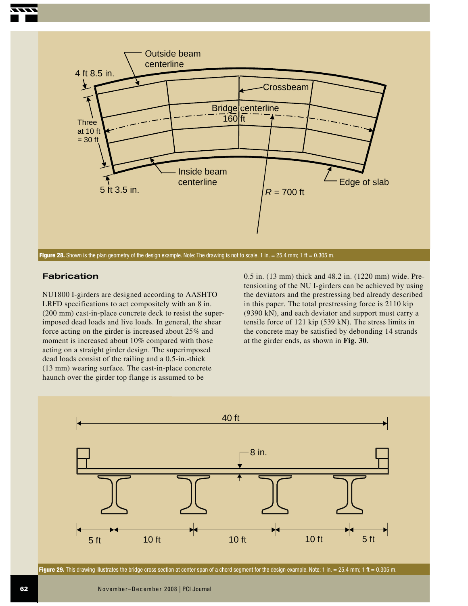

**Figure 28.** Shown is the plan geometry of the design example. Note: The drawing is not to scale. 1 in. = 25.4 mm; 1 ft = 0.305 m.

#### **Fabrication**

NU1800 I-girders are designed according to AASHTO LRFD specifications to act compositely with an 8 in. (200 mm) cast-in-place concrete deck to resist the superimposed dead loads and live loads. In general, the shear force acting on the girder is increased about 25% and moment is increased about 10% compared with those acting on a straight girder design. The superimposed dead loads consist of the railing and a 0.5-in.-thick (13 mm) wearing surface. The cast-in-place concrete haunch over the girder top flange is assumed to be

0.5 in. (13 mm) thick and 48.2 in. (1220 mm) wide. Pretensioning of the NU I-girders can be achieved by using the deviators and the prestressing bed already described in this paper. The total prestressing force is 2110 kip (9390 kN), and each deviator and support must carry a tensile force of 121 kip (539 kN). The stress limits in the concrete may be satisfied by debonding 14 strands at the girder ends, as shown in **Fig. 30**.



Figure 29. This drawing illustrates the bridge cross section at center span of a chord segment for the design example. Note: 1 in. = 25.4 mm; 1 ft = 0.305 m.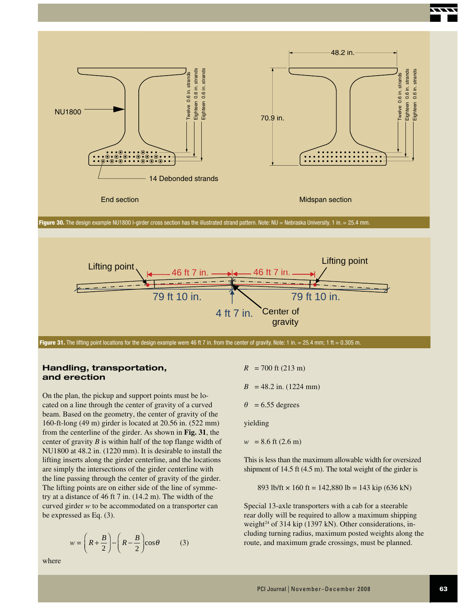



Figure 31. The lifting point locations for the design example were 46 ft 7 in. from the center of gravity. Note: 1 in. = 25.4 mm; 1 ft = 0.305 m.

#### **Handling, transportation, and erection**

On the plan, the pickup and support points must be located on a line through the center of gravity of a curved beam. Based on the geometry, the center of gravity of the 160-ft-long (49 m) girder is located at 20.56 in. (522 mm) from the centerline of the girder. As shown in **Fig. 31**, the center of gravity *B* is within half of the top flange width of NU1800 at 48.2 in. (1220 mm). It is desirable to install the lifting inserts along the girder centerline, and the locations are simply the intersections of the girder centerline with the line passing through the center of gravity of the girder. The lifting points are on either side of the line of symmetry at a distance of 46 ft 7 in. (14.2 m). The width of the curved girder *w* to be accommodated on a transporter can be expressed as Eq. (3).

$$
w = \left(R + \frac{B}{2}\right) - \left(R - \frac{B}{2}\right)\cos\theta\tag{3}
$$

 $R = 700$  ft (213 m)

 $B = 48.2$  in. (1224 mm)

 $\theta = 6.55$  degrees

yielding

$$
w = 8.6
$$
 ft (2.6 m)

This is less than the maximum allowable width for oversized shipment of 14.5 ft (4.5 m). The total weight of the girder is

893 lb/ft  $\times$  160 ft = 142,880 lb = 143 kip (636 kN)

Special 13-axle transporters with a cab for a steerable rear dolly will be required to allow a maximum shipping weight<sup>24</sup> of 314 kip (1397 kN). Other considerations, including turning radius, maximum posted weights along the route, and maximum grade crossings, must be planned.

where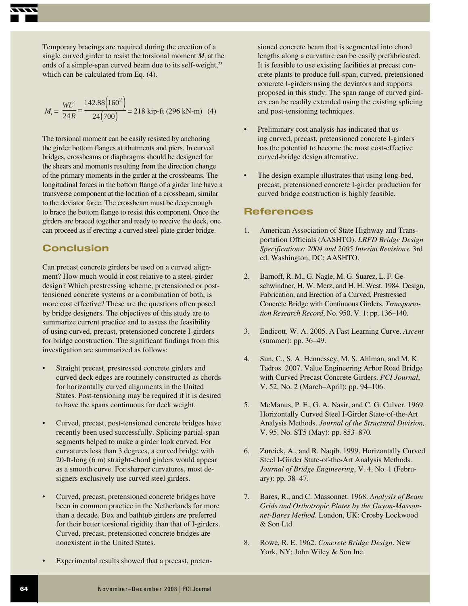Temporary bracings are required during the erection of a single curved girder to resist the torsional moment  $M_t$  at the ends of a simple-span curved beam due to its self-weight,<sup>23</sup> which can be calculated from Eq. (4).

$$
M_t = \frac{WL^2}{24R} = \frac{142.88(160^2)}{24(700)} = 218 \text{ kip-fit} (296 \text{ kN-m}) \quad (4)
$$

The torsional moment can be easily resisted by anchoring the girder bottom flanges at abutments and piers. In curved bridges, crossbeams or diaphragms should be designed for the shears and moments resulting from the direction change of the primary moments in the girder at the crossbeams. The longitudinal forces in the bottom flange of a girder line have a transverse component at the location of a crossbeam, similar to the deviator force. The crossbeam must be deep enough to brace the bottom flange to resist this component. Once the girders are braced together and ready to receive the deck, one can proceed as if erecting a curved steel-plate girder bridge.

## **Conclusion**

Can precast concrete girders be used on a curved alignment? How much would it cost relative to a steel-girder design? Which prestressing scheme, pretensioned or posttensioned concrete systems or a combination of both, is more cost effective? These are the questions often posed by bridge designers. The objectives of this study are to summarize current practice and to assess the feasibility of using curved, precast, pretensioned concrete I-girders for bridge construction. The significant findings from this investigation are summarized as follows:

- Straight precast, prestressed concrete girders and curved deck edges are routinely constructed as chords for horizontally curved alignments in the United States. Post-tensioning may be required if it is desired to have the spans continuous for deck weight.
- Curved, precast, post-tensioned concrete bridges have recently been used successfully. Splicing partial-span segments helped to make a girder look curved. For curvatures less than 3 degrees, a curved bridge with 20-ft-long (6 m) straight-chord girders would appear as a smooth curve. For sharper curvatures, most designers exclusively use curved steel girders.
- Curved, precast, pretensioned concrete bridges have been in common practice in the Netherlands for more than a decade. Box and bathtub girders are preferred for their better torsional rigidity than that of I-girders. Curved, precast, pretensioned concrete bridges are nonexistent in the United States.
- Experimental results showed that a precast, preten-

sioned concrete beam that is segmented into chord lengths along a curvature can be easily prefabricated. It is feasible to use existing facilities at precast concrete plants to produce full-span, curved, pretensioned concrete I-girders using the deviators and supports proposed in this study. The span range of curved girders can be readily extended using the existing splicing and post-tensioning techniques.

- Preliminary cost analysis has indicated that using curved, precast, pretensioned concrete I-girders has the potential to become the most cost-effective curved-bridge design alternative.
- The design example illustrates that using long-bed, precast, pretensioned concrete I-girder production for curved bridge construction is highly feasible.

## **References**

- 1. American Association of State Highway and Transportation Officials (AASHTO). *LRFD Bridge Design Specifications: 2004 and 2005 Interim Revisions*. 3rd ed. Washington, DC: AASHTO.
- 2. Barnoff, R. M., G. Nagle, M. G. Suarez, L. F. Geschwindner, H. W. Merz, and H. H. West. 1984. Design, Fabrication, and Erection of a Curved, Prestressed Concrete Bridge with Continuous Girders. *Transportation Research Record*, No. 950, V. 1: pp. 136–140.
- 3. Endicott, W. A. 2005. A Fast Learning Curve. *Ascent* (summer): pp. 36–49.
- 4. Sun, C., S. A. Hennessey, M. S. Ahlman, and M. K. Tadros. 2007. Value Engineering Arbor Road Bridge with Curved Precast Concrete Girders. *PCI Journal*, V. 52, No. 2 (March–April): pp. 94–106.
- 5. McManus, P. F., G. A. Nasir, and C. G. Culver. 1969. Horizontally Curved Steel I-Girder State-of-the-Art Analysis Methods. *Journal of the Structural Division,* V. 95, No. ST5 (May): pp. 853–870.
- 6. Zureick, A., and R. Naqib. 1999. Horizontally Curved Steel I-Girder State-of-the-Art Analysis Methods. *Journal of Bridge Engineering*, V. 4, No. 1 (February): pp. 38–47.
- 7. Bares, R., and C. Massonnet. 1968. *Analysis of Beam Grids and Orthotropic Plates by the Guyon-Massonnet-Bares Method*. London, UK: Crosby Lockwood & Son Ltd.
- 8. Rowe, R. E. 1962. *Concrete Bridge Design*. New York, NY: John Wiley & Son Inc.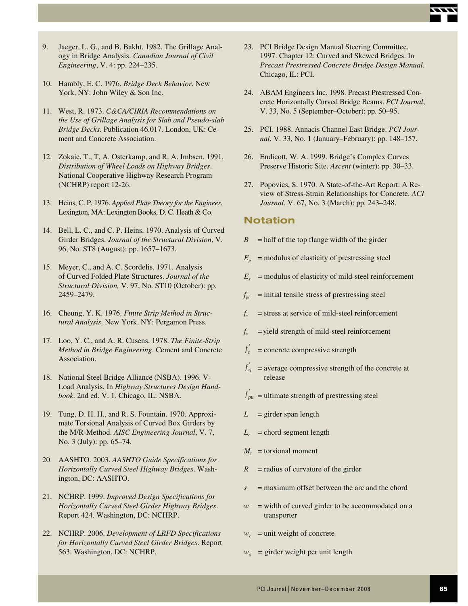

- 9. Jaeger, L. G., and B. Bakht. 1982. The Grillage Analogy in Bridge Analysis. *Canadian Journal of Civil Engineering*, V. 4: pp. 224–235.
- 10. Hambly, E. C. 1976. *Bridge Deck Behavior*. New York, NY: John Wiley & Son Inc.
- 11. West, R. 1973. *C&CA/CIRIA Recommendations on the Use of Grillage Analysis for Slab and Pseudo-slab Bridge Decks*. Publication 46.017. London, UK: Cement and Concrete Association.
- 12. Zokaie, T., T. A. Osterkamp, and R. A. Imbsen. 1991. *Distribution of Wheel Loads on Highway Bridges*. National Cooperative Highway Research Program (NCHRP) report 12-26.
- 13. Heins, C. P. 1976. *Applied Plate Theory for the Engineer*. Lexington, MA: Lexington Books, D. C. Heath & Co.
- 14. Bell, L. C., and C. P. Heins. 1970. Analysis of Curved Girder Bridges. *Journal of the Structural Division*, V. 96, No. ST8 (August): pp. 1657–1673.
- 15. Meyer, C., and A. C. Scordelis. 1971. Analysis of Curved Folded Plate Structures. *Journal of the Structural Division,* V. 97, No. ST10 (October): pp. 2459–2479.
- 16. Cheung, Y. K. 1976. *Finite Strip Method in Structural Analysis*. New York, NY: Pergamon Press.
- 17. Loo, Y. C., and A. R. Cusens. 1978. *The Finite-Strip Method in Bridge Engineering*. Cement and Concrete Association.
- 18. National Steel Bridge Alliance (NSBA). 1996. V-Load Analysis*.* In *Highway Structures Design Handbook*. 2nd ed. V. 1. Chicago, IL: NSBA.
- 19. Tung, D. H. H., and R. S. Fountain. 1970. Approximate Torsional Analysis of Curved Box Girders by the M/R-Method. *AISC Engineering Journal*, V. 7, No. 3 (July): pp. 65–74.
- 20. AASHTO. 2003. *AASHTO Guide Specifications for Horizontally Curved Steel Highway Bridges*. Washington, DC: AASHTO.
- 21. NCHRP. 1999. *Improved Design Specifications for Horizontally Curved Steel Girder Highway Bridges*. Report 424. Washington, DC: NCHRP.
- 22. NCHRP. 2006. *Development of LRFD Specifications for Horizontally Curved Steel Girder Bridges*. Report 563. Washington, DC: NCHRP.
- 23. PCI Bridge Design Manual Steering Committee. 1997. Chapter 12: Curved and Skewed Bridges. In *Precast Prestressed Concrete Bridge Design Manual*. Chicago, IL: PCI.
- 24. ABAM Engineers Inc. 1998. Precast Prestressed Concrete Horizontally Curved Bridge Beams. *PCI Journal*, V. 33, No. 5 (September–October): pp. 50–95.
- 25. PCI. 1988. Annacis Channel East Bridge. *PCI Journal*, V. 33, No. 1 (January–February): pp. 148–157.
- 26. Endicott, W. A. 1999. Bridge's Complex Curves Preserve Historic Site. *Ascent* (winter): pp. 30–33.
- 27. Popovics, S. 1970. A State-of-the-Art Report: A Review of Stress-Strain Relationships for Concrete. *ACI Journal*. V. 67, No. 3 (March): pp. 243–248.

## **Notation**

- $B =$  half of the top flange width of the girder
- $E_p$  = modulus of elasticity of prestressing steel
- $E<sub>s</sub>$  = modulus of elasticity of mild-steel reinforcement
- $f_{pi}$  = initial tensile stress of prestressing steel
- $f_s$  = stress at service of mild-steel reinforcement
- $f_y$  = yield strength of mild-steel reinforcement
- *f c* = concrete compressive strength
- $f'_{ci}$  = average compressive strength of the concrete at release
- $f'_{pu}$  = ultimate strength of prestressing steel
- $L =$  girder span length
- $L_c$  = chord segment length
- $M_t$  = torsional moment
- $R$  = radius of curvature of the girder
- *s* = maximum offset between the arc and the chord
- $w =$  width of curved girder to be accommodated on a transporter
- $w_c$  = unit weight of concrete
- $w_e$  = girder weight per unit length